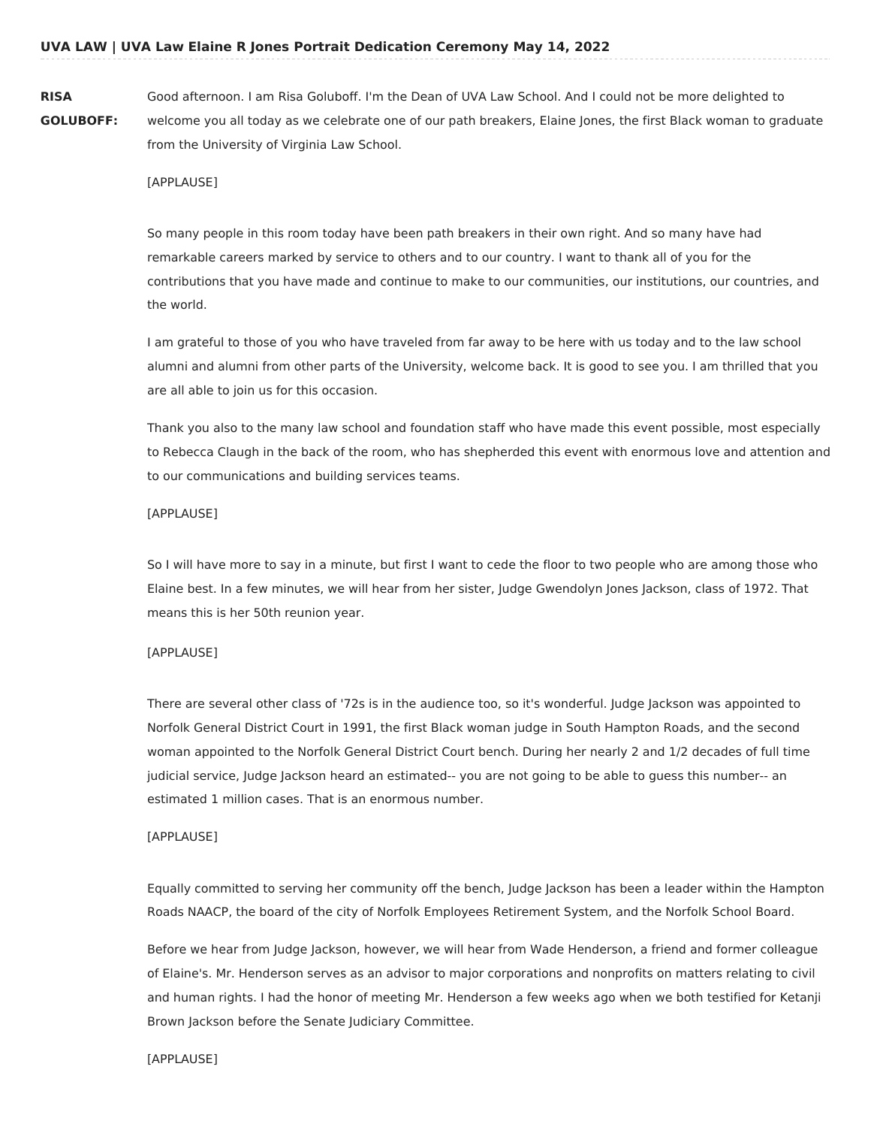**RISA GOLUBOFF:** Good afternoon. I am Risa Goluboff. I'm the Dean of UVA Law School. And I could not be more delighted to welcome you all today as we celebrate one of our path breakers, Elaine Jones, the first Black woman to graduate from the University of Virginia Law School.

### [APPLAUSE]

So many people in this room today have been path breakers in their own right. And so many have had remarkable careers marked by service to others and to our country. I want to thank all of you for the contributions that you have made and continue to make to our communities, our institutions, our countries, and the world.

I am grateful to those of you who have traveled from far away to be here with us today and to the law school alumni and alumni from other parts of the University, welcome back. It is good to see you. I am thrilled that you are all able to join us for this occasion.

Thank you also to the many law school and foundation staff who have made this event possible, most especially to Rebecca Claugh in the back of the room, who has shepherded this event with enormous love and attention and to our communications and building services teams.

#### [APPLAUSE]

So I will have more to say in a minute, but first I want to cede the floor to two people who are among those who Elaine best. In a few minutes, we will hear from her sister, Judge Gwendolyn Jones Jackson, class of 1972. That means this is her 50th reunion year.

#### [APPLAUSE]

There are several other class of '72s is in the audience too, so it's wonderful. Judge Jackson was appointed to Norfolk General District Court in 1991, the first Black woman judge in South Hampton Roads, and the second woman appointed to the Norfolk General District Court bench. During her nearly 2 and 1/2 decades of full time judicial service, Judge Jackson heard an estimated-- you are not going to be able to guess this number-- an estimated 1 million cases. That is an enormous number.

#### [APPLAUSE]

Equally committed to serving her community off the bench, Judge Jackson has been a leader within the Hampton Roads NAACP, the board of the city of Norfolk Employees Retirement System, and the Norfolk School Board.

Before we hear from Judge Jackson, however, we will hear from Wade Henderson, a friend and former colleague of Elaine's. Mr. Henderson serves as an advisor to major corporations and nonprofits on matters relating to civil and human rights. I had the honor of meeting Mr. Henderson a few weeks ago when we both testified for Ketanji Brown Jackson before the Senate Judiciary Committee.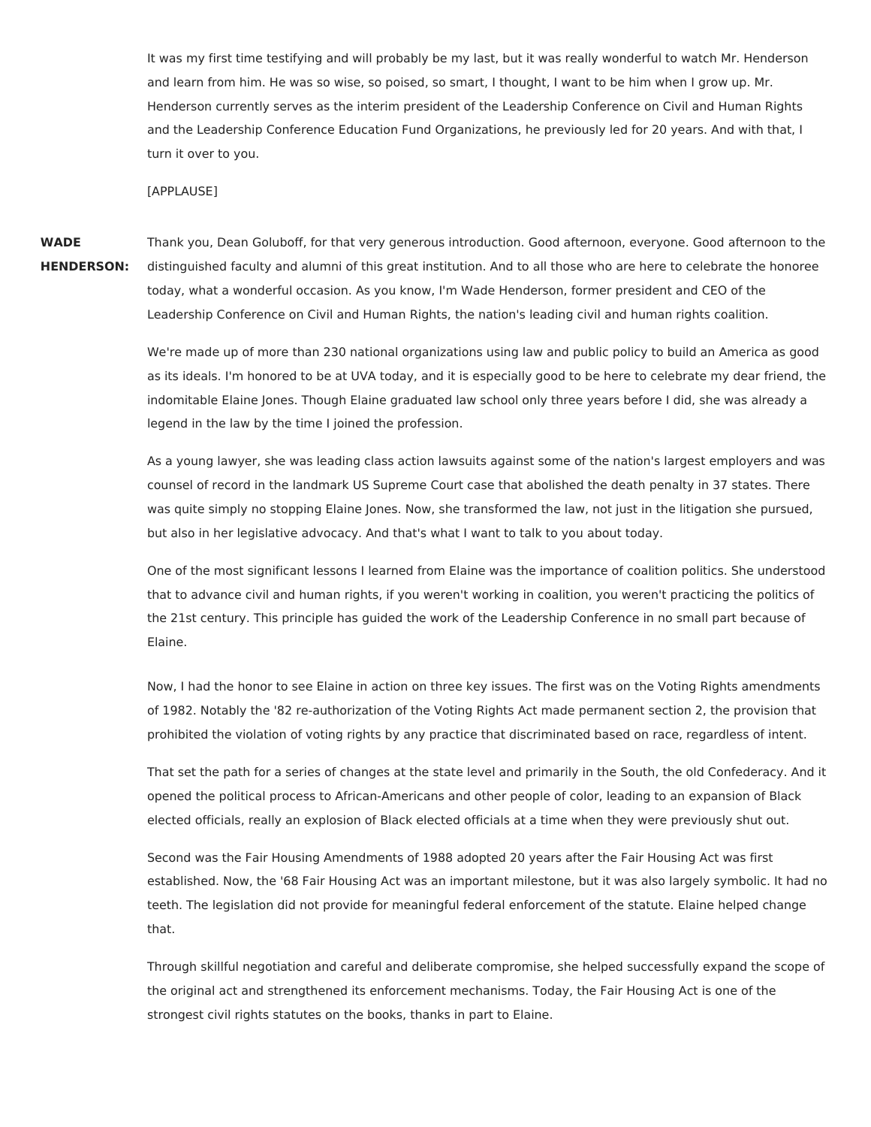It was my first time testifying and will probably be my last, but it was really wonderful to watch Mr. Henderson and learn from him. He was so wise, so poised, so smart, I thought, I want to be him when I grow up. Mr. Henderson currently serves as the interim president of the Leadership Conference on Civil and Human Rights and the Leadership Conference Education Fund Organizations, he previously led for 20 years. And with that, I turn it over to you.

## [APPLAUSE]

**WADE HENDERSON:** Thank you, Dean Goluboff, for that very generous introduction. Good afternoon, everyone. Good afternoon to the distinguished faculty and alumni of this great institution. And to all those who are here to celebrate the honoree today, what a wonderful occasion. As you know, I'm Wade Henderson, former president and CEO of the Leadership Conference on Civil and Human Rights, the nation's leading civil and human rights coalition.

> We're made up of more than 230 national organizations using law and public policy to build an America as good as its ideals. I'm honored to be at UVA today, and it is especially good to be here to celebrate my dear friend, the indomitable Elaine Jones. Though Elaine graduated law school only three years before I did, she was already a legend in the law by the time I joined the profession.

> As a young lawyer, she was leading class action lawsuits against some of the nation's largest employers and was counsel of record in the landmark US Supreme Court case that abolished the death penalty in 37 states. There was quite simply no stopping Elaine Jones. Now, she transformed the law, not just in the litigation she pursued, but also in her legislative advocacy. And that's what I want to talk to you about today.

> One of the most significant lessons I learned from Elaine was the importance of coalition politics. She understood that to advance civil and human rights, if you weren't working in coalition, you weren't practicing the politics of the 21st century. This principle has guided the work of the Leadership Conference in no small part because of Elaine.

> Now, I had the honor to see Elaine in action on three key issues. The first was on the Voting Rights amendments of 1982. Notably the '82 re-authorization of the Voting Rights Act made permanent section 2, the provision that prohibited the violation of voting rights by any practice that discriminated based on race, regardless of intent.

> That set the path for a series of changes at the state level and primarily in the South, the old Confederacy. And it opened the political process to African-Americans and other people of color, leading to an expansion of Black elected officials, really an explosion of Black elected officials at a time when they were previously shut out.

> Second was the Fair Housing Amendments of 1988 adopted 20 years after the Fair Housing Act was first established. Now, the '68 Fair Housing Act was an important milestone, but it was also largely symbolic. It had no teeth. The legislation did not provide for meaningful federal enforcement of the statute. Elaine helped change that.

> Through skillful negotiation and careful and deliberate compromise, she helped successfully expand the scope of the original act and strengthened its enforcement mechanisms. Today, the Fair Housing Act is one of the strongest civil rights statutes on the books, thanks in part to Elaine.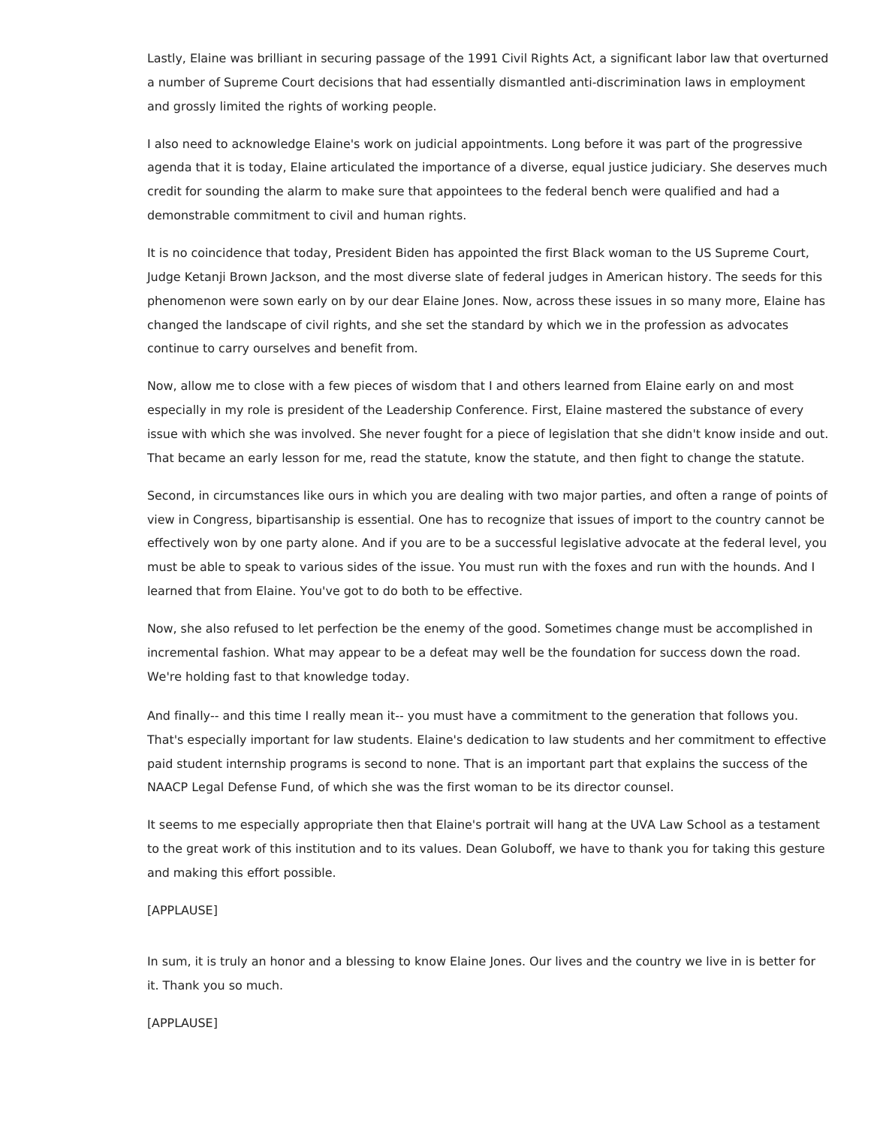Lastly, Elaine was brilliant in securing passage of the 1991 Civil Rights Act, a significant labor law that overturned a number of Supreme Court decisions that had essentially dismantled anti-discrimination laws in employment and grossly limited the rights of working people.

I also need to acknowledge Elaine's work on judicial appointments. Long before it was part of the progressive agenda that it is today, Elaine articulated the importance of a diverse, equal justice judiciary. She deserves much credit for sounding the alarm to make sure that appointees to the federal bench were qualified and had a demonstrable commitment to civil and human rights.

It is no coincidence that today, President Biden has appointed the first Black woman to the US Supreme Court, Judge Ketanji Brown Jackson, and the most diverse slate of federal judges in American history. The seeds for this phenomenon were sown early on by our dear Elaine Jones. Now, across these issues in so many more, Elaine has changed the landscape of civil rights, and she set the standard by which we in the profession as advocates continue to carry ourselves and benefit from.

Now, allow me to close with a few pieces of wisdom that I and others learned from Elaine early on and most especially in my role is president of the Leadership Conference. First, Elaine mastered the substance of every issue with which she was involved. She never fought for a piece of legislation that she didn't know inside and out. That became an early lesson for me, read the statute, know the statute, and then fight to change the statute.

Second, in circumstances like ours in which you are dealing with two major parties, and often a range of points of view in Congress, bipartisanship is essential. One has to recognize that issues of import to the country cannot be effectively won by one party alone. And if you are to be a successful legislative advocate at the federal level, you must be able to speak to various sides of the issue. You must run with the foxes and run with the hounds. And I learned that from Elaine. You've got to do both to be effective.

Now, she also refused to let perfection be the enemy of the good. Sometimes change must be accomplished in incremental fashion. What may appear to be a defeat may well be the foundation for success down the road. We're holding fast to that knowledge today.

And finally-- and this time I really mean it-- you must have a commitment to the generation that follows you. That's especially important for law students. Elaine's dedication to law students and her commitment to effective paid student internship programs is second to none. That is an important part that explains the success of the NAACP Legal Defense Fund, of which she was the first woman to be its director counsel.

It seems to me especially appropriate then that Elaine's portrait will hang at the UVA Law School as a testament to the great work of this institution and to its values. Dean Goluboff, we have to thank you for taking this gesture and making this effort possible.

### [APPLAUSE]

In sum, it is truly an honor and a blessing to know Elaine Jones. Our lives and the country we live in is better for it. Thank you so much.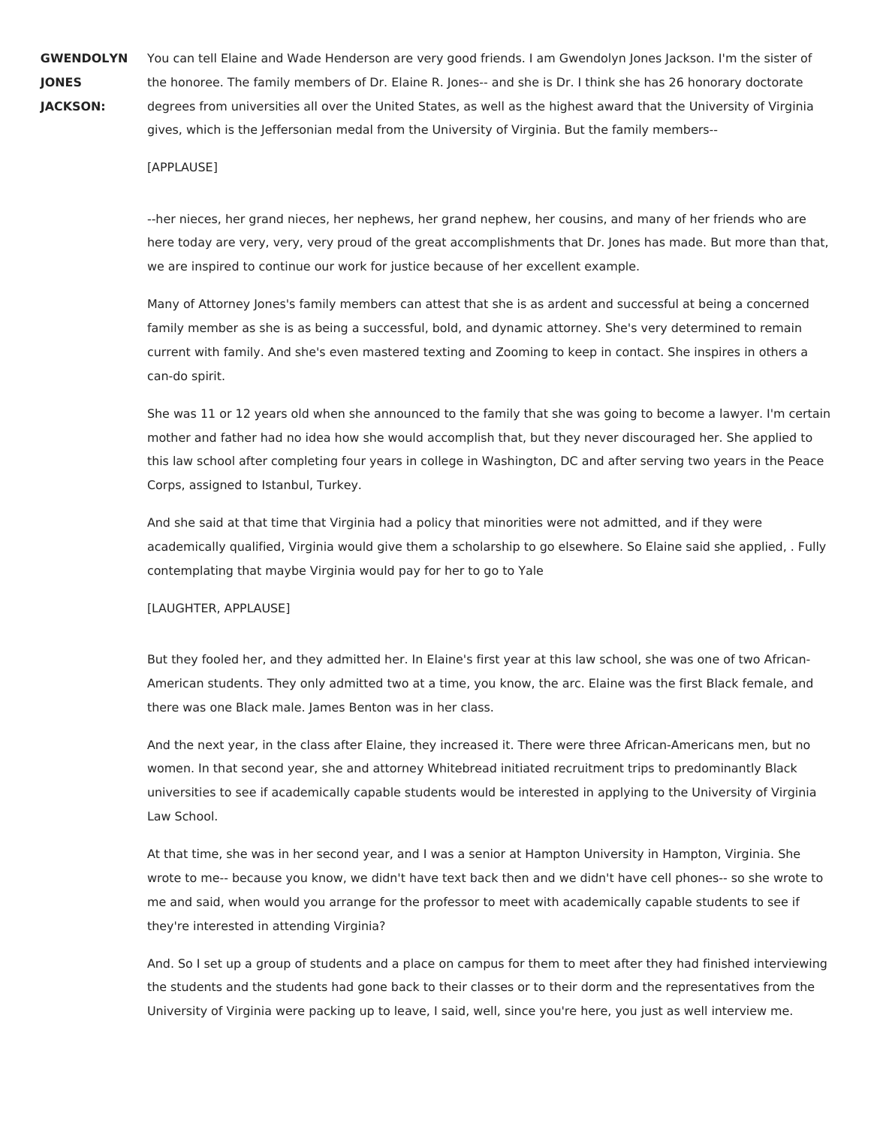**GWENDOLYN JONES JACKSON:**

You can tell Elaine and Wade Henderson are very good friends. I am Gwendolyn Jones Jackson. I'm the sister of the honoree. The family members of Dr. Elaine R. Jones-- and she is Dr. I think she has 26 honorary doctorate degrees from universities all over the United States, as well as the highest award that the University of Virginia gives, which is the Jeffersonian medal from the University of Virginia. But the family members--

### [APPLAUSE]

--her nieces, her grand nieces, her nephews, her grand nephew, her cousins, and many of her friends who are here today are very, very, very proud of the great accomplishments that Dr. Jones has made. But more than that, we are inspired to continue our work for justice because of her excellent example.

Many of Attorney Jones's family members can attest that she is as ardent and successful at being a concerned family member as she is as being a successful, bold, and dynamic attorney. She's very determined to remain current with family. And she's even mastered texting and Zooming to keep in contact. She inspires in others a can-do spirit.

She was 11 or 12 years old when she announced to the family that she was going to become a lawyer. I'm certain mother and father had no idea how she would accomplish that, but they never discouraged her. She applied to this law school after completing four years in college in Washington, DC and after serving two years in the Peace Corps, assigned to Istanbul, Turkey.

And she said at that time that Virginia had a policy that minorities were not admitted, and if they were academically qualified, Virginia would give them a scholarship to go elsewhere. So Elaine said she applied, . Fully contemplating that maybe Virginia would pay for her to go to Yale

## [LAUGHTER, APPLAUSE]

But they fooled her, and they admitted her. In Elaine's first year at this law school, she was one of two African-American students. They only admitted two at a time, you know, the arc. Elaine was the first Black female, and there was one Black male. James Benton was in her class.

And the next year, in the class after Elaine, they increased it. There were three African-Americans men, but no women. In that second year, she and attorney Whitebread initiated recruitment trips to predominantly Black universities to see if academically capable students would be interested in applying to the University of Virginia Law School.

At that time, she was in her second year, and I was a senior at Hampton University in Hampton, Virginia. She wrote to me-- because you know, we didn't have text back then and we didn't have cell phones-- so she wrote to me and said, when would you arrange for the professor to meet with academically capable students to see if they're interested in attending Virginia?

And. So I set up a group of students and a place on campus for them to meet after they had finished interviewing the students and the students had gone back to their classes or to their dorm and the representatives from the University of Virginia were packing up to leave, I said, well, since you're here, you just as well interview me.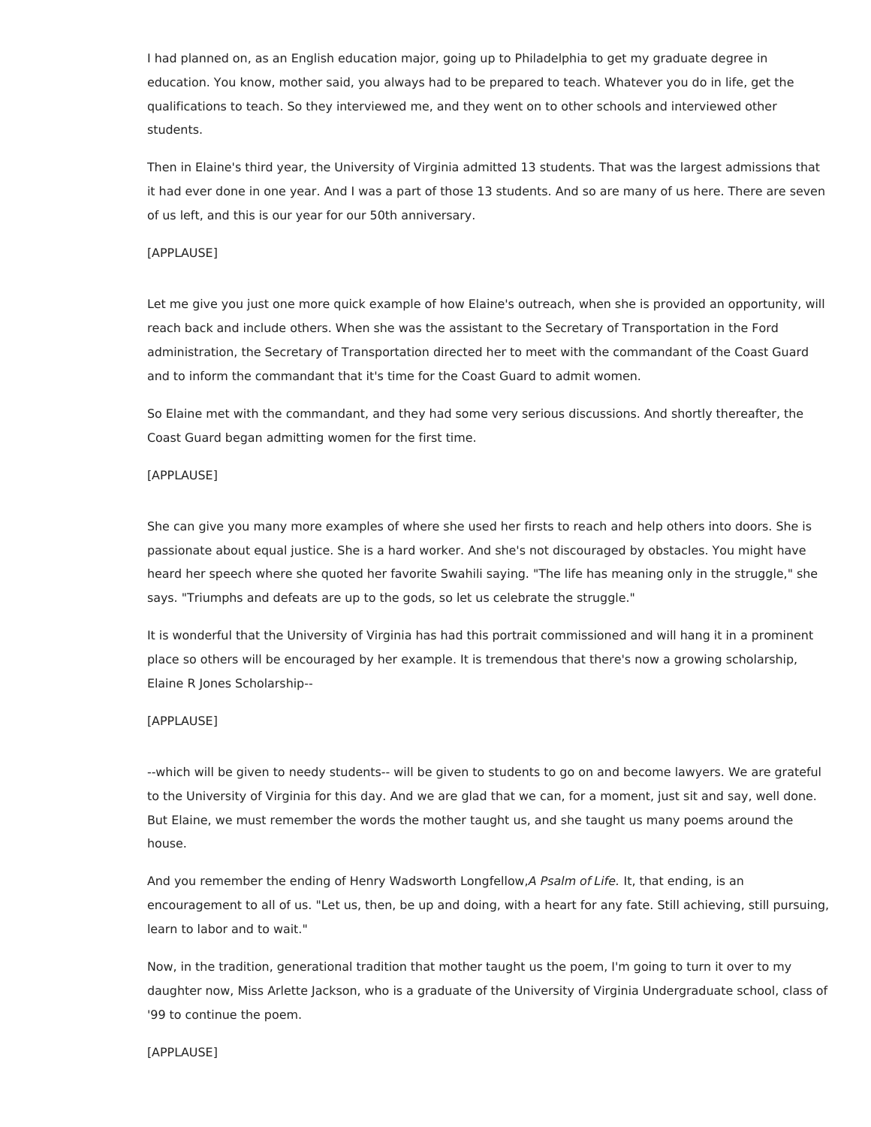I had planned on, as an English education major, going up to Philadelphia to get my graduate degree in education. You know, mother said, you always had to be prepared to teach. Whatever you do in life, get the qualifications to teach. So they interviewed me, and they went on to other schools and interviewed other students.

Then in Elaine's third year, the University of Virginia admitted 13 students. That was the largest admissions that it had ever done in one year. And I was a part of those 13 students. And so are many of us here. There are seven of us left, and this is our year for our 50th anniversary.

### [APPLAUSE]

Let me give you just one more quick example of how Elaine's outreach, when she is provided an opportunity, will reach back and include others. When she was the assistant to the Secretary of Transportation in the Ford administration, the Secretary of Transportation directed her to meet with the commandant of the Coast Guard and to inform the commandant that it's time for the Coast Guard to admit women.

So Elaine met with the commandant, and they had some very serious discussions. And shortly thereafter, the Coast Guard began admitting women for the first time.

#### [APPLAUSE]

She can give you many more examples of where she used her firsts to reach and help others into doors. She is passionate about equal justice. She is a hard worker. And she's not discouraged by obstacles. You might have heard her speech where she quoted her favorite Swahili saying. "The life has meaning only in the struggle," she says. "Triumphs and defeats are up to the gods, so let us celebrate the struggle."

It is wonderful that the University of Virginia has had this portrait commissioned and will hang it in a prominent place so others will be encouraged by her example. It is tremendous that there's now a growing scholarship, Elaine R Jones Scholarship--

### [APPLAUSE]

--which will be given to needy students-- will be given to students to go on and become lawyers. We are grateful to the University of Virginia for this day. And we are glad that we can, for a moment, just sit and say, well done. But Elaine, we must remember the words the mother taught us, and she taught us many poems around the house.

And you remember the ending of Henry Wadsworth Longfellow, A Psalm of Life. It, that ending, is an encouragement to all of us. "Let us, then, be up and doing, with a heart for any fate. Still achieving, still pursuing, learn to labor and to wait."

Now, in the tradition, generational tradition that mother taught us the poem, I'm going to turn it over to my daughter now, Miss Arlette Jackson, who is a graduate of the University of Virginia Undergraduate school, class of '99 to continue the poem.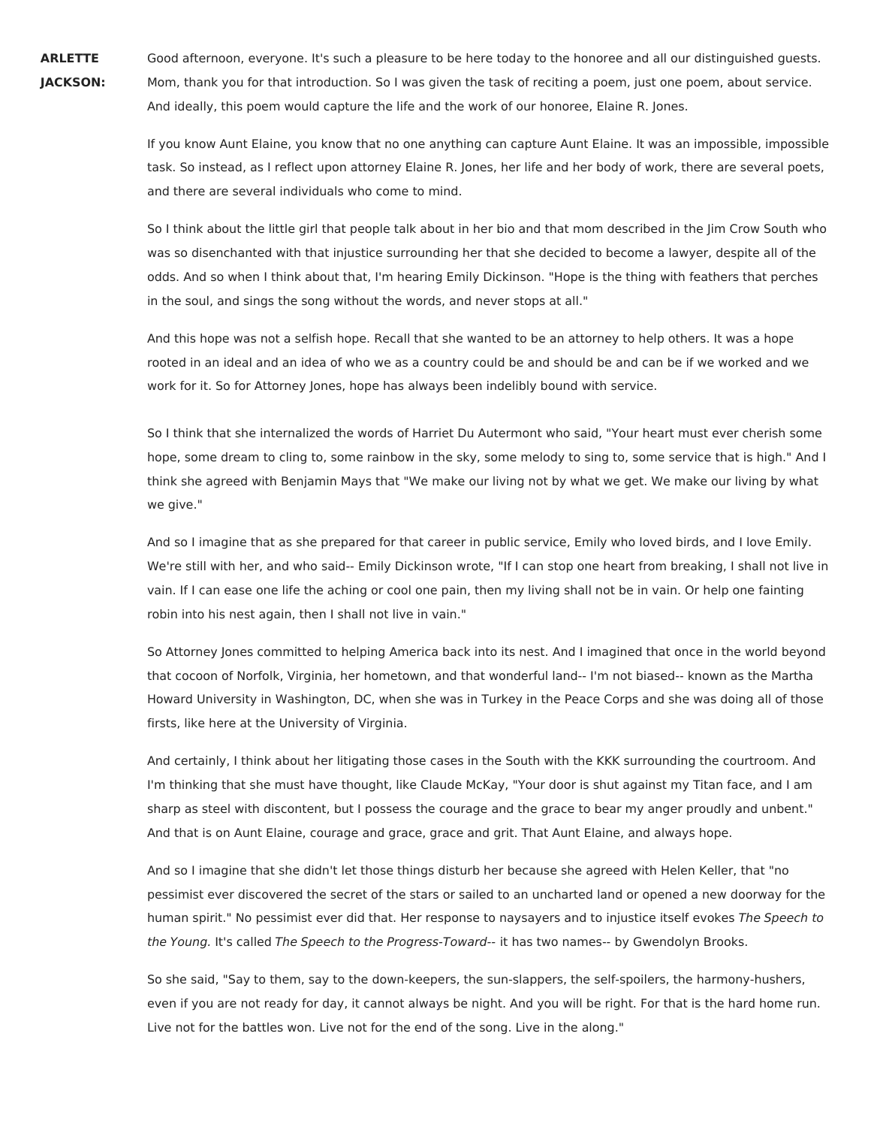**ARLETTE JACKSON:**

Good afternoon, everyone. It's such a pleasure to be here today to the honoree and all our distinguished guests. Mom, thank you for that introduction. So I was given the task of reciting a poem, just one poem, about service. And ideally, this poem would capture the life and the work of our honoree, Elaine R. Jones.

If you know Aunt Elaine, you know that no one anything can capture Aunt Elaine. It was an impossible, impossible task. So instead, as I reflect upon attorney Elaine R. Jones, her life and her body of work, there are several poets, and there are several individuals who come to mind.

So I think about the little girl that people talk about in her bio and that mom described in the Jim Crow South who was so disenchanted with that injustice surrounding her that she decided to become a lawyer, despite all of the odds. And so when I think about that, I'm hearing Emily Dickinson. "Hope is the thing with feathers that perches in the soul, and sings the song without the words, and never stops at all."

And this hope was not a selfish hope. Recall that she wanted to be an attorney to help others. It was a hope rooted in an ideal and an idea of who we as a country could be and should be and can be if we worked and we work for it. So for Attorney Jones, hope has always been indelibly bound with service.

So I think that she internalized the words of Harriet Du Autermont who said, "Your heart must ever cherish some hope, some dream to cling to, some rainbow in the sky, some melody to sing to, some service that is high." And I think she agreed with Benjamin Mays that "We make our living not by what we get. We make our living by what we give."

And so I imagine that as she prepared for that career in public service, Emily who loved birds, and I love Emily. We're still with her, and who said-- Emily Dickinson wrote, "If I can stop one heart from breaking, I shall not live in vain. If I can ease one life the aching or cool one pain, then my living shall not be in vain. Or help one fainting robin into his nest again, then I shall not live in vain."

So Attorney Jones committed to helping America back into its nest. And I imagined that once in the world beyond that cocoon of Norfolk, Virginia, her hometown, and that wonderful land-- I'm not biased-- known as the Martha Howard University in Washington, DC, when she was in Turkey in the Peace Corps and she was doing all of those firsts, like here at the University of Virginia.

And certainly, I think about her litigating those cases in the South with the KKK surrounding the courtroom. And I'm thinking that she must have thought, like Claude McKay, "Your door is shut against my Titan face, and I am sharp as steel with discontent, but I possess the courage and the grace to bear my anger proudly and unbent." And that is on Aunt Elaine, courage and grace, grace and grit. That Aunt Elaine, and always hope.

And so I imagine that she didn't let those things disturb her because she agreed with Helen Keller, that "no pessimist ever discovered the secret of the stars or sailed to an uncharted land or opened a new doorway for the human spirit." No pessimist ever did that. Her response to naysayers and to injustice itself evokes The Speech to the Young. It's called The Speech to the Progress-Toward-- it has two names-- by Gwendolyn Brooks.

So she said, "Say to them, say to the down-keepers, the sun-slappers, the self-spoilers, the harmony-hushers, even if you are not ready for day, it cannot always be night. And you will be right. For that is the hard home run. Live not for the battles won. Live not for the end of the song. Live in the along."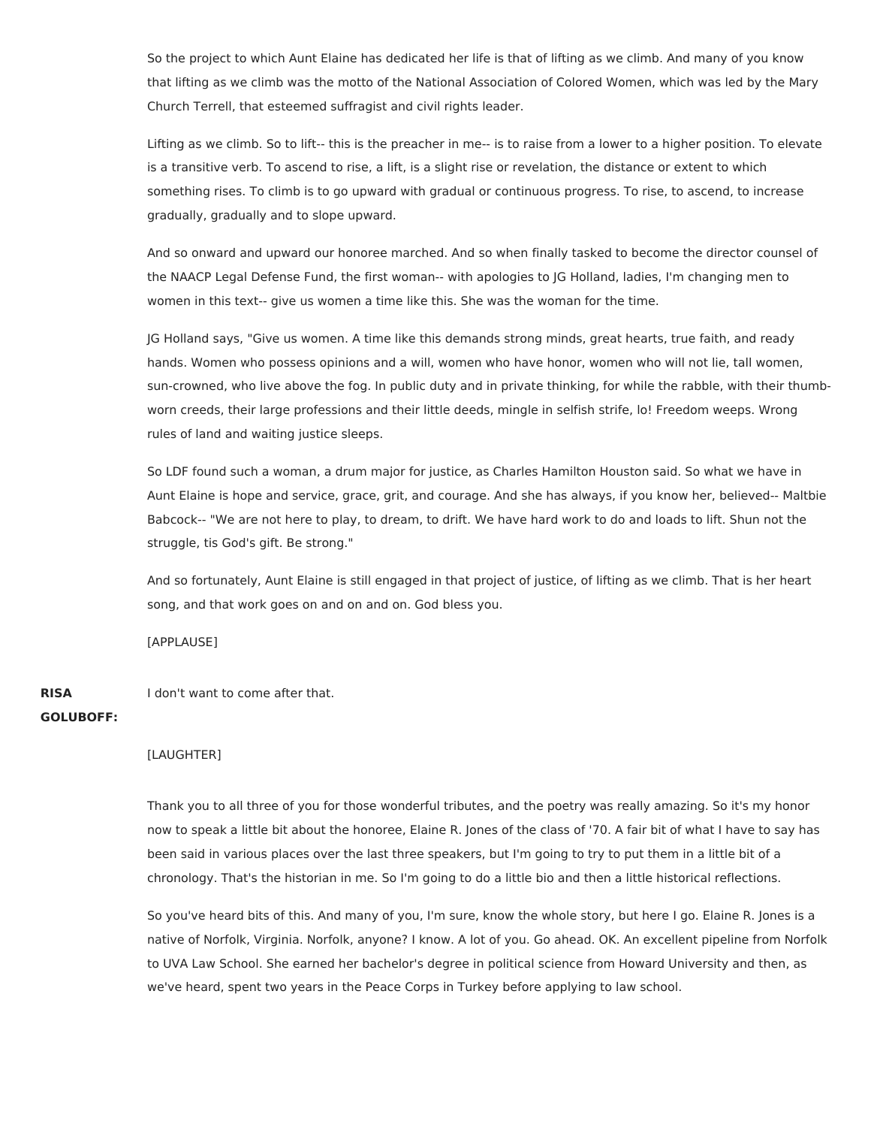So the project to which Aunt Elaine has dedicated her life is that of lifting as we climb. And many of you know that lifting as we climb was the motto of the National Association of Colored Women, which was led by the Mary Church Terrell, that esteemed suffragist and civil rights leader.

Lifting as we climb. So to lift-- this is the preacher in me-- is to raise from a lower to a higher position. To elevate is a transitive verb. To ascend to rise, a lift, is a slight rise or revelation, the distance or extent to which something rises. To climb is to go upward with gradual or continuous progress. To rise, to ascend, to increase gradually, gradually and to slope upward.

And so onward and upward our honoree marched. And so when finally tasked to become the director counsel of the NAACP Legal Defense Fund, the first woman-- with apologies to JG Holland, ladies, I'm changing men to women in this text-- give us women a time like this. She was the woman for the time.

JG Holland says, "Give us women. A time like this demands strong minds, great hearts, true faith, and ready hands. Women who possess opinions and a will, women who have honor, women who will not lie, tall women, sun-crowned, who live above the fog. In public duty and in private thinking, for while the rabble, with their thumbworn creeds, their large professions and their little deeds, mingle in selfish strife, lo! Freedom weeps. Wrong rules of land and waiting justice sleeps.

So LDF found such a woman, a drum major for justice, as Charles Hamilton Houston said. So what we have in Aunt Elaine is hope and service, grace, grit, and courage. And she has always, if you know her, believed-- Maltbie Babcock-- "We are not here to play, to dream, to drift. We have hard work to do and loads to lift. Shun not the struggle, tis God's gift. Be strong."

And so fortunately, Aunt Elaine is still engaged in that project of justice, of lifting as we climb. That is her heart song, and that work goes on and on and on. God bless you.

[APPLAUSE]

**RISA GOLUBOFF:** I don't want to come after that.

## [LAUGHTER]

Thank you to all three of you for those wonderful tributes, and the poetry was really amazing. So it's my honor now to speak a little bit about the honoree, Elaine R. Jones of the class of '70. A fair bit of what I have to say has been said in various places over the last three speakers, but I'm going to try to put them in a little bit of a chronology. That's the historian in me. So I'm going to do a little bio and then a little historical reflections.

So you've heard bits of this. And many of you, I'm sure, know the whole story, but here I go. Elaine R. Jones is a native of Norfolk, Virginia. Norfolk, anyone? I know. A lot of you. Go ahead. OK. An excellent pipeline from Norfolk to UVA Law School. She earned her bachelor's degree in political science from Howard University and then, as we've heard, spent two years in the Peace Corps in Turkey before applying to law school.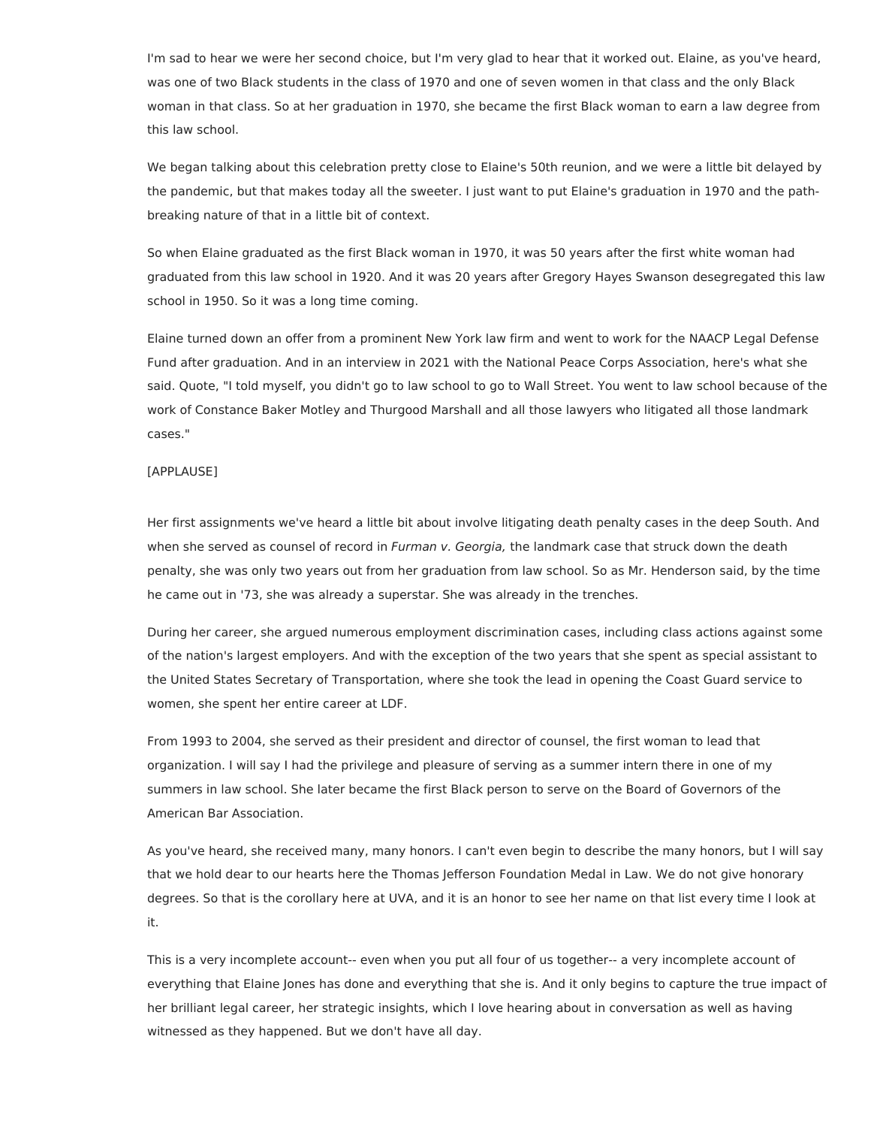I'm sad to hear we were her second choice, but I'm very glad to hear that it worked out. Elaine, as you've heard, was one of two Black students in the class of 1970 and one of seven women in that class and the only Black woman in that class. So at her graduation in 1970, she became the first Black woman to earn a law degree from this law school.

We began talking about this celebration pretty close to Elaine's 50th reunion, and we were a little bit delayed by the pandemic, but that makes today all the sweeter. I just want to put Elaine's graduation in 1970 and the pathbreaking nature of that in a little bit of context.

So when Elaine graduated as the first Black woman in 1970, it was 50 years after the first white woman had graduated from this law school in 1920. And it was 20 years after Gregory Hayes Swanson desegregated this law school in 1950. So it was a long time coming.

Elaine turned down an offer from a prominent New York law firm and went to work for the NAACP Legal Defense Fund after graduation. And in an interview in 2021 with the National Peace Corps Association, here's what she said. Quote, "I told myself, you didn't go to law school to go to Wall Street. You went to law school because of the work of Constance Baker Motley and Thurgood Marshall and all those lawyers who litigated all those landmark cases."

## [APPLAUSE]

Her first assignments we've heard a little bit about involve litigating death penalty cases in the deep South. And when she served as counsel of record in Furman v. Georgia, the landmark case that struck down the death penalty, she was only two years out from her graduation from law school. So as Mr. Henderson said, by the time he came out in '73, she was already a superstar. She was already in the trenches.

During her career, she argued numerous employment discrimination cases, including class actions against some of the nation's largest employers. And with the exception of the two years that she spent as special assistant to the United States Secretary of Transportation, where she took the lead in opening the Coast Guard service to women, she spent her entire career at LDF.

From 1993 to 2004, she served as their president and director of counsel, the first woman to lead that organization. I will say I had the privilege and pleasure of serving as a summer intern there in one of my summers in law school. She later became the first Black person to serve on the Board of Governors of the American Bar Association.

As you've heard, she received many, many honors. I can't even begin to describe the many honors, but I will say that we hold dear to our hearts here the Thomas Jefferson Foundation Medal in Law. We do not give honorary degrees. So that is the corollary here at UVA, and it is an honor to see her name on that list every time I look at it.

This is a very incomplete account-- even when you put all four of us together-- a very incomplete account of everything that Elaine Jones has done and everything that she is. And it only begins to capture the true impact of her brilliant legal career, her strategic insights, which I love hearing about in conversation as well as having witnessed as they happened. But we don't have all day.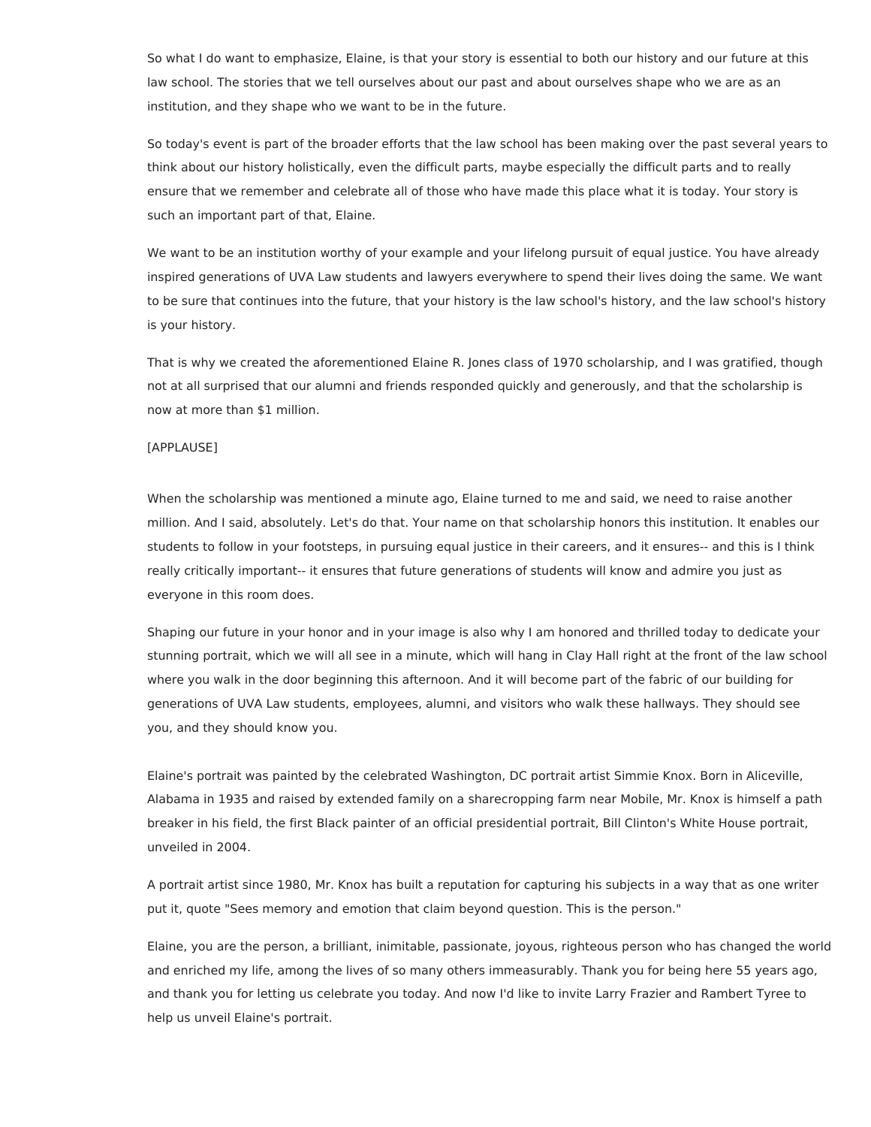So what I do want to emphasize, Elaine, is that your story is essential to both our history and our future at this law school. The stories that we tell ourselves about our past and about ourselves shape who we are as an institution, and they shape who we want to be in the future.

So today's event is part of the broader efforts that the law school has been making over the past several years to think about our history holistically, even the difficult parts, maybe especially the difficult parts and to really ensure that we remember and celebrate all of those who have made this place what it is today. Your story is such an important part of that, Elaine.

We want to be an institution worthy of your example and your lifelong pursuit of equal justice. You have already inspired generations of UVA Law students and lawyers everywhere to spend their lives doing the same. We want to be sure that continues into the future, that your history is the law school's history, and the law school's history is your history.

That is why we created the aforementioned Elaine R. Jones class of 1970 scholarship, and I was gratified, though not at all surprised that our alumni and friends responded quickly and generously, and that the scholarship is now at more than \$1 million.

## [APPLAUSE]

When the scholarship was mentioned a minute ago, Elaine turned to me and said, we need to raise another million. And I said, absolutely. Let's do that. Your name on that scholarship honors this institution. It enables our students to follow in your footsteps, in pursuing equal justice in their careers, and it ensures-- and this is I think really critically important-- it ensures that future generations of students will know and admire you just as everyone in this room does.

Shaping our future in your honor and in your image is also why I am honored and thrilled today to dedicate your stunning portrait, which we will all see in a minute, which will hang in Clay Hall right at the front of the law school where you walk in the door beginning this afternoon. And it will become part of the fabric of our building for generations of UVA Law students, employees, alumni, and visitors who walk these hallways. They should see you, and they should know you.

Elaine's portrait was painted by the celebrated Washington, DC portrait artist Simmie Knox. Born in Aliceville, Alabama in 1935 and raised by extended family on a sharecropping farm near Mobile, Mr. Knox is himself a path breaker in his field, the first Black painter of an official presidential portrait, Bill Clinton's White House portrait, unveiled in 2004.

A portrait artist since 1980, Mr. Knox has built a reputation for capturing his subjects in a way that as one writer put it, quote "Sees memory and emotion that claim beyond question. This is the person."

Elaine, you are the person, a brilliant, inimitable, passionate, joyous, righteous person who has changed the world and enriched my life, among the lives of so many others immeasurably. Thank you for being here 55 years ago, and thank you for letting us celebrate you today. And now I'd like to invite Larry Frazier and Rambert Tyree to help us unveil Elaine's portrait.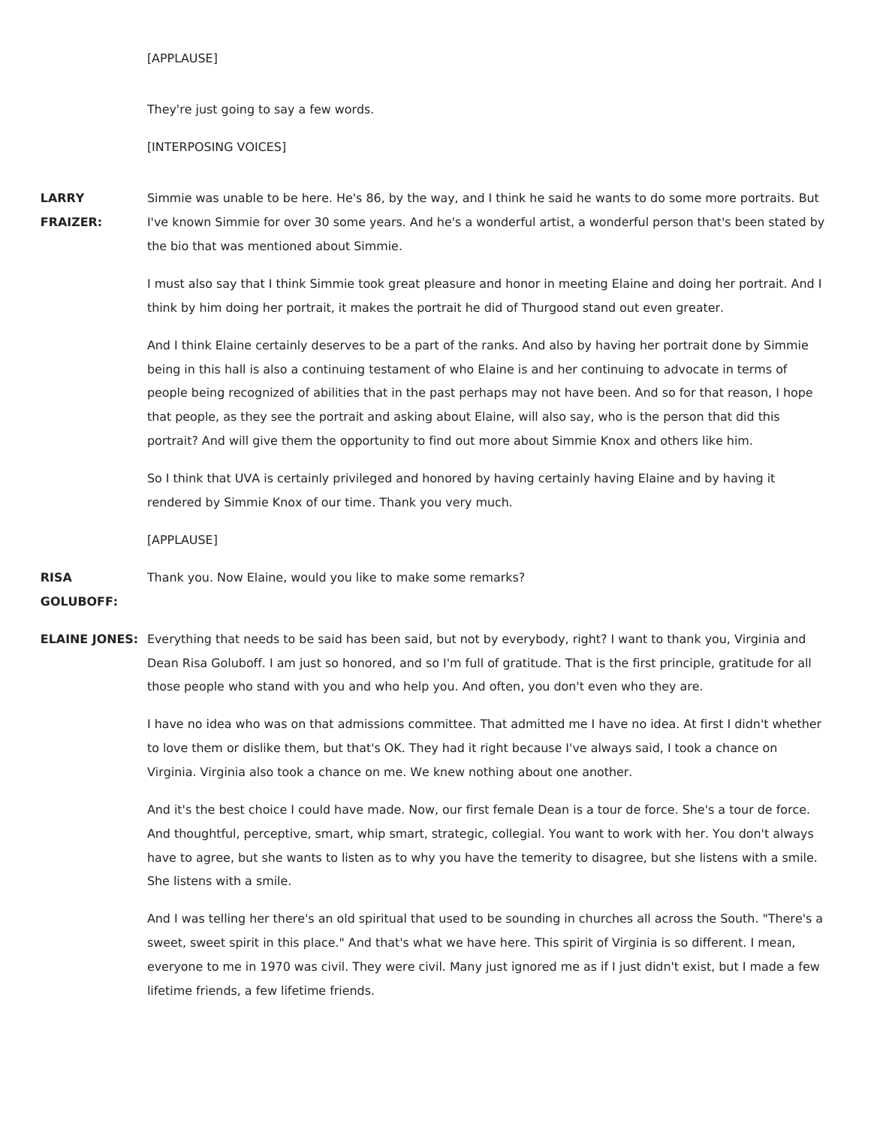## [APPLAUSE]

They're just going to say a few words.

## [INTERPOSING VOICES]

**LARRY FRAIZER:** Simmie was unable to be here. He's 86, by the way, and I think he said he wants to do some more portraits. But I've known Simmie for over 30 some years. And he's a wonderful artist, a wonderful person that's been stated by the bio that was mentioned about Simmie.

> I must also say that I think Simmie took great pleasure and honor in meeting Elaine and doing her portrait. And I think by him doing her portrait, it makes the portrait he did of Thurgood stand out even greater.

And I think Elaine certainly deserves to be a part of the ranks. And also by having her portrait done by Simmie being in this hall is also a continuing testament of who Elaine is and her continuing to advocate in terms of people being recognized of abilities that in the past perhaps may not have been. And so for that reason, I hope that people, as they see the portrait and asking about Elaine, will also say, who is the person that did this portrait? And will give them the opportunity to find out more about Simmie Knox and others like him.

So I think that UVA is certainly privileged and honored by having certainly having Elaine and by having it rendered by Simmie Knox of our time. Thank you very much.

[APPLAUSE]

**RISA** Thank you. Now Elaine, would you like to make some remarks?

**GOLUBOFF:**

**ELAINE JONES:** Everything that needs to be said has been said, but not by everybody, right? I want to thank you, Virginia and Dean Risa Goluboff. I am just so honored, and so I'm full of gratitude. That is the first principle, gratitude for all those people who stand with you and who help you. And often, you don't even who they are.

> I have no idea who was on that admissions committee. That admitted me I have no idea. At first I didn't whether to love them or dislike them, but that's OK. They had it right because I've always said, I took a chance on Virginia. Virginia also took a chance on me. We knew nothing about one another.

> And it's the best choice I could have made. Now, our first female Dean is a tour de force. She's a tour de force. And thoughtful, perceptive, smart, whip smart, strategic, collegial. You want to work with her. You don't always have to agree, but she wants to listen as to why you have the temerity to disagree, but she listens with a smile. She listens with a smile.

> And I was telling her there's an old spiritual that used to be sounding in churches all across the South. "There's a sweet, sweet spirit in this place." And that's what we have here. This spirit of Virginia is so different. I mean, everyone to me in 1970 was civil. They were civil. Many just ignored me as if I just didn't exist, but I made a few lifetime friends, a few lifetime friends.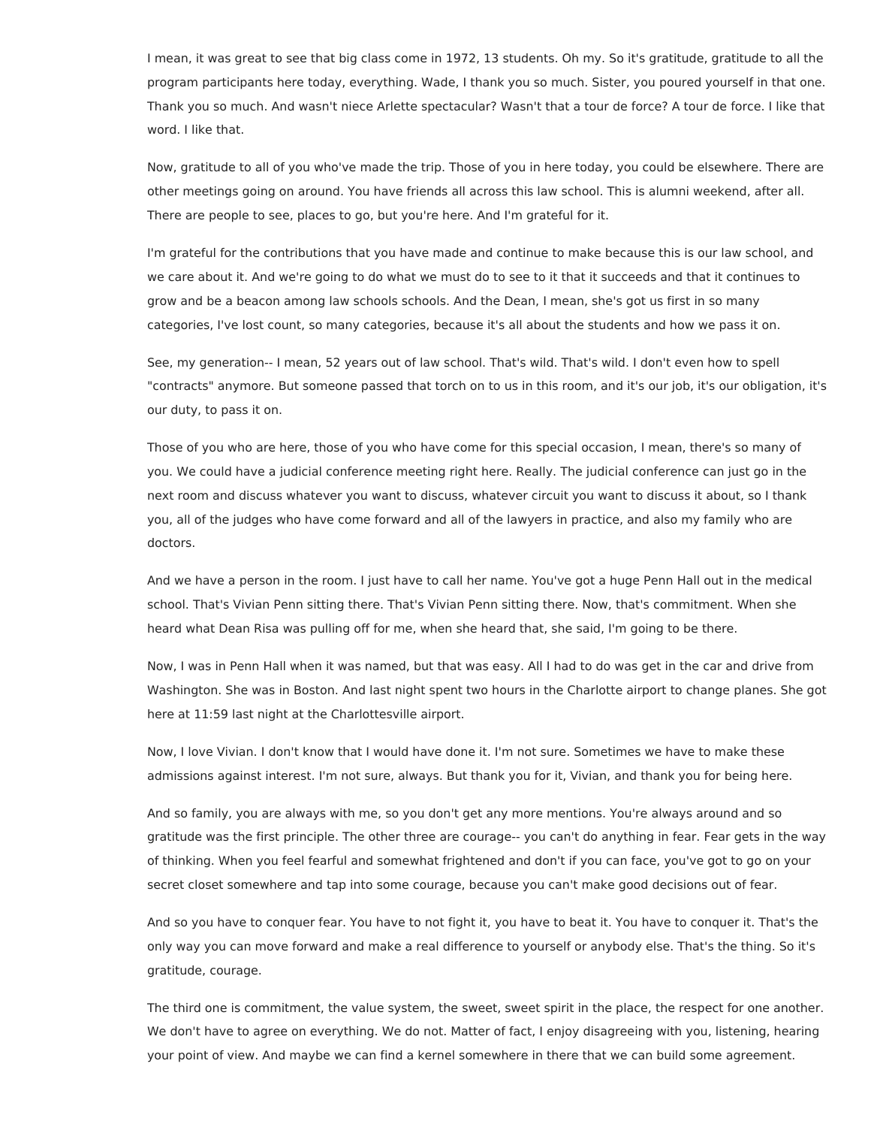I mean, it was great to see that big class come in 1972, 13 students. Oh my. So it's gratitude, gratitude to all the program participants here today, everything. Wade, I thank you so much. Sister, you poured yourself in that one. Thank you so much. And wasn't niece Arlette spectacular? Wasn't that a tour de force? A tour de force. I like that word. I like that.

Now, gratitude to all of you who've made the trip. Those of you in here today, you could be elsewhere. There are other meetings going on around. You have friends all across this law school. This is alumni weekend, after all. There are people to see, places to go, but you're here. And I'm grateful for it.

I'm grateful for the contributions that you have made and continue to make because this is our law school, and we care about it. And we're going to do what we must do to see to it that it succeeds and that it continues to grow and be a beacon among law schools schools. And the Dean, I mean, she's got us first in so many categories, I've lost count, so many categories, because it's all about the students and how we pass it on.

See, my generation-- I mean, 52 years out of law school. That's wild. That's wild. I don't even how to spell "contracts" anymore. But someone passed that torch on to us in this room, and it's our job, it's our obligation, it's our duty, to pass it on.

Those of you who are here, those of you who have come for this special occasion, I mean, there's so many of you. We could have a judicial conference meeting right here. Really. The judicial conference can just go in the next room and discuss whatever you want to discuss, whatever circuit you want to discuss it about, so I thank you, all of the judges who have come forward and all of the lawyers in practice, and also my family who are doctors.

And we have a person in the room. I just have to call her name. You've got a huge Penn Hall out in the medical school. That's Vivian Penn sitting there. That's Vivian Penn sitting there. Now, that's commitment. When she heard what Dean Risa was pulling off for me, when she heard that, she said, I'm going to be there.

Now, I was in Penn Hall when it was named, but that was easy. All I had to do was get in the car and drive from Washington. She was in Boston. And last night spent two hours in the Charlotte airport to change planes. She got here at 11:59 last night at the Charlottesville airport.

Now, I love Vivian. I don't know that I would have done it. I'm not sure. Sometimes we have to make these admissions against interest. I'm not sure, always. But thank you for it, Vivian, and thank you for being here.

And so family, you are always with me, so you don't get any more mentions. You're always around and so gratitude was the first principle. The other three are courage-- you can't do anything in fear. Fear gets in the way of thinking. When you feel fearful and somewhat frightened and don't if you can face, you've got to go on your secret closet somewhere and tap into some courage, because you can't make good decisions out of fear.

And so you have to conquer fear. You have to not fight it, you have to beat it. You have to conquer it. That's the only way you can move forward and make a real difference to yourself or anybody else. That's the thing. So it's gratitude, courage.

The third one is commitment, the value system, the sweet, sweet spirit in the place, the respect for one another. We don't have to agree on everything. We do not. Matter of fact, I enjoy disagreeing with you, listening, hearing your point of view. And maybe we can find a kernel somewhere in there that we can build some agreement.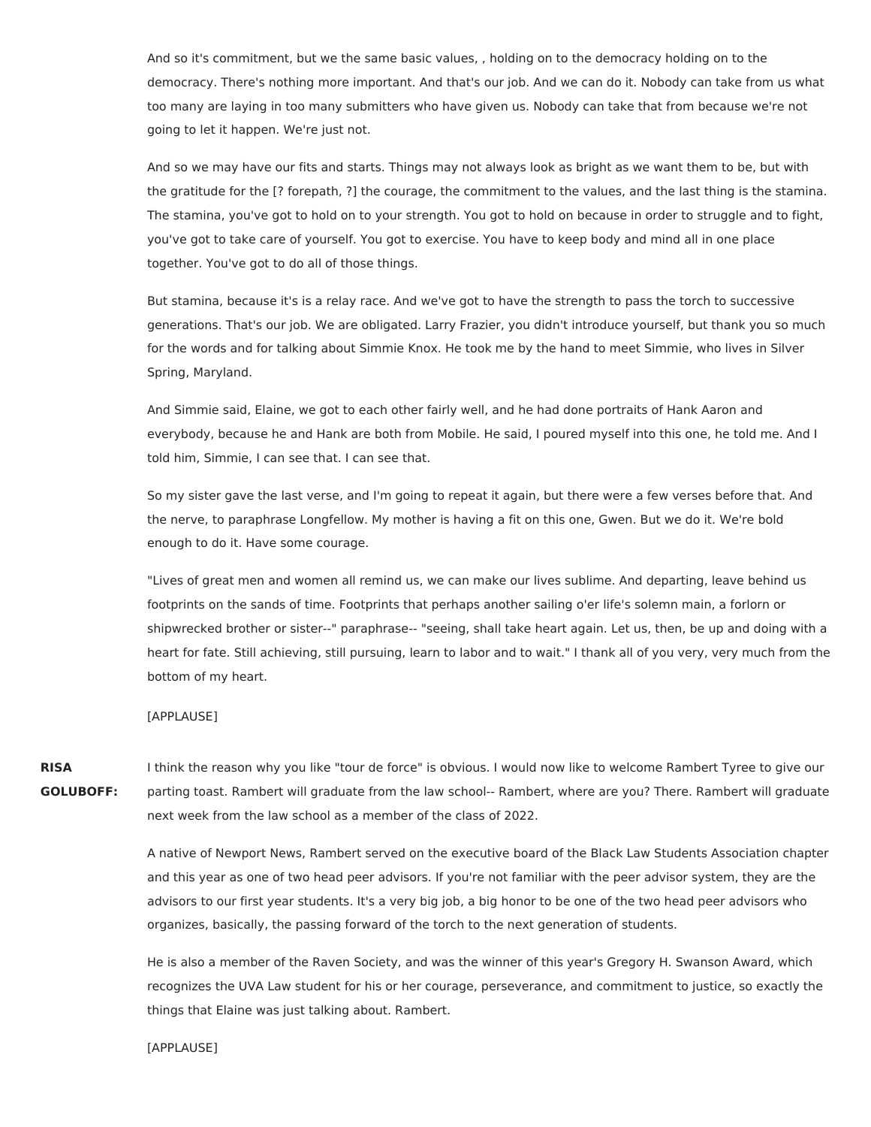And so it's commitment, but we the same basic values, , holding on to the democracy holding on to the democracy. There's nothing more important. And that's our job. And we can do it. Nobody can take from us what too many are laying in too many submitters who have given us. Nobody can take that from because we're not going to let it happen. We're just not.

And so we may have our fits and starts. Things may not always look as bright as we want them to be, but with the gratitude for the [? forepath, ?] the courage, the commitment to the values, and the last thing is the stamina. The stamina, you've got to hold on to your strength. You got to hold on because in order to struggle and to fight, you've got to take care of yourself. You got to exercise. You have to keep body and mind all in one place together. You've got to do all of those things.

But stamina, because it's is a relay race. And we've got to have the strength to pass the torch to successive generations. That's our job. We are obligated. Larry Frazier, you didn't introduce yourself, but thank you so much for the words and for talking about Simmie Knox. He took me by the hand to meet Simmie, who lives in Silver Spring, Maryland.

And Simmie said, Elaine, we got to each other fairly well, and he had done portraits of Hank Aaron and everybody, because he and Hank are both from Mobile. He said, I poured myself into this one, he told me. And I told him, Simmie, I can see that. I can see that.

So my sister gave the last verse, and I'm going to repeat it again, but there were a few verses before that. And the nerve, to paraphrase Longfellow. My mother is having a fit on this one, Gwen. But we do it. We're bold enough to do it. Have some courage.

"Lives of great men and women all remind us, we can make our lives sublime. And departing, leave behind us footprints on the sands of time. Footprints that perhaps another sailing o'er life's solemn main, a forlorn or shipwrecked brother or sister--" paraphrase-- "seeing, shall take heart again. Let us, then, be up and doing with a heart for fate. Still achieving, still pursuing, learn to labor and to wait." I thank all of you very, very much from the bottom of my heart.

### [APPLAUSE]

# **RISA GOLUBOFF:**

I think the reason why you like "tour de force" is obvious. I would now like to welcome Rambert Tyree to give our parting toast. Rambert will graduate from the law school-- Rambert, where are you? There. Rambert will graduate next week from the law school as a member of the class of 2022.

A native of Newport News, Rambert served on the executive board of the Black Law Students Association chapter and this year as one of two head peer advisors. If you're not familiar with the peer advisor system, they are the advisors to our first year students. It's a very big job, a big honor to be one of the two head peer advisors who organizes, basically, the passing forward of the torch to the next generation of students.

He is also a member of the Raven Society, and was the winner of this year's Gregory H. Swanson Award, which recognizes the UVA Law student for his or her courage, perseverance, and commitment to justice, so exactly the things that Elaine was just talking about. Rambert.